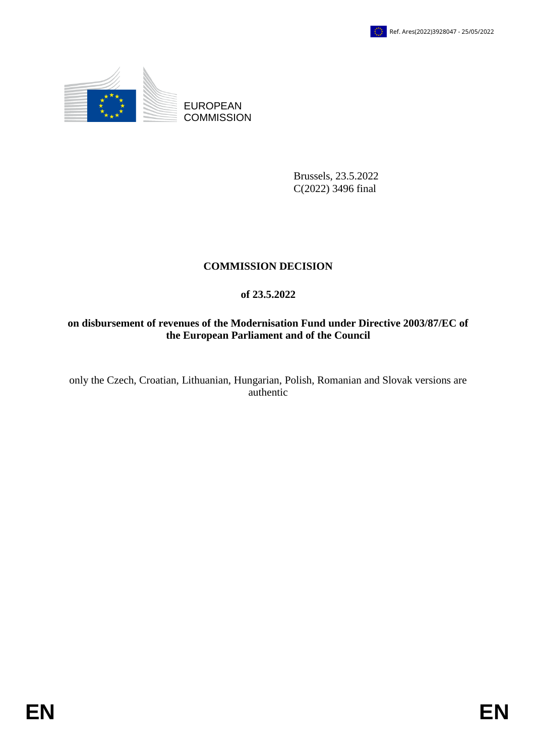

EUROPEAN **COMMISSION** 

> Brussels, 23.5.2022 C(2022) 3496 final

# **COMMISSION DECISION**

## **of 23.5.2022**

## **on disbursement of revenues of the Modernisation Fund under Directive 2003/87/EC of the European Parliament and of the Council**

only the Czech, Croatian, Lithuanian, Hungarian, Polish, Romanian and Slovak versions are authentic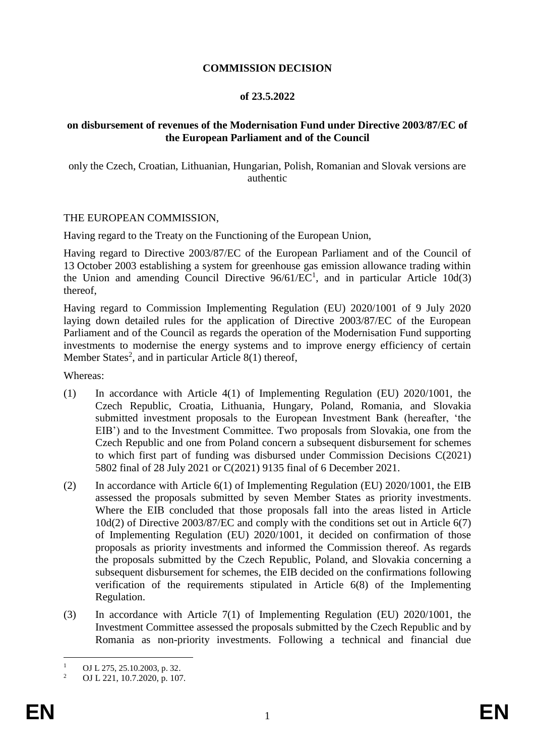### **COMMISSION DECISION**

#### **of 23.5.2022**

### **on disbursement of revenues of the Modernisation Fund under Directive 2003/87/EC of the European Parliament and of the Council**

only the Czech, Croatian, Lithuanian, Hungarian, Polish, Romanian and Slovak versions are authentic

#### THE EUROPEAN COMMISSION,

Having regard to the Treaty on the Functioning of the European Union,

Having regard to Directive 2003/87/EC of the European Parliament and of the Council of 13 October 2003 establishing a system for greenhouse gas emission allowance trading within the Union and amending Council Directive  $96/61/EC<sup>1</sup>$ , and in particular Article 10d(3) thereof,

Having regard to Commission Implementing Regulation (EU) 2020/1001 of 9 July 2020 laying down detailed rules for the application of Directive 2003/87/EC of the European Parliament and of the Council as regards the operation of the Modernisation Fund supporting investments to modernise the energy systems and to improve energy efficiency of certain Member States<sup>2</sup>, and in particular Article  $8(1)$  thereof,

Whereas:

- (1) In accordance with Article 4(1) of Implementing Regulation (EU) 2020/1001, the Czech Republic, Croatia, Lithuania, Hungary, Poland, Romania, and Slovakia submitted investment proposals to the European Investment Bank (hereafter, 'the EIB') and to the Investment Committee. Two proposals from Slovakia, one from the Czech Republic and one from Poland concern a subsequent disbursement for schemes to which first part of funding was disbursed under Commission Decisions C(2021) 5802 final of 28 July 2021 or C(2021) 9135 final of 6 December 2021.
- (2) In accordance with Article 6(1) of Implementing Regulation (EU) 2020/1001, the EIB assessed the proposals submitted by seven Member States as priority investments. Where the EIB concluded that those proposals fall into the areas listed in Article 10d(2) of Directive 2003/87/EC and comply with the conditions set out in Article 6(7) of Implementing Regulation (EU) 2020/1001, it decided on confirmation of those proposals as priority investments and informed the Commission thereof. As regards the proposals submitted by the Czech Republic, Poland, and Slovakia concerning a subsequent disbursement for schemes, the EIB decided on the confirmations following verification of the requirements stipulated in Article 6(8) of the Implementing Regulation.
- (3) In accordance with Article 7(1) of Implementing Regulation (EU) 2020/1001, the Investment Committee assessed the proposals submitted by the Czech Republic and by Romania as non-priority investments. Following a technical and financial due

 $\mathbf{1}$ <sup>1</sup> OJ L 275, 25.10.2003, p. 32.<br><sup>2</sup> OJ L 221, 10.7.2020, p. 107

<sup>2</sup> OJ L 221, 10.7.2020, p. 107.